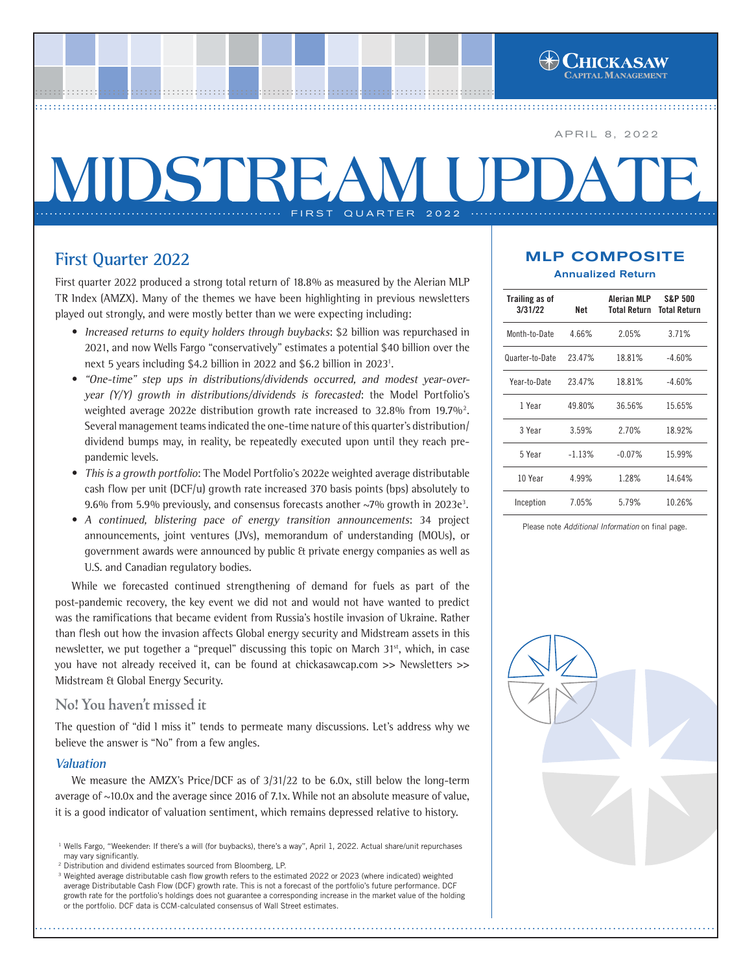APRIL 8, 2022

# **MIDSTREAM UP** ...... FIRST QUARTER 2022

................................................................................................ ..... ................................................................................................ ..... ................................................................................................ ....[..................................................](http://www.chickasawcap.com) ................................................................................................ ......................................................

# **First Quarter 2022**

First quarter 2022 produced a strong total return of 18.8% as measured by the Alerian MLP TR Index (AMZX). Many of the themes we have been highlighting in previous newsletters played out strongly, and were mostly better than we were expecting including:

- Increased returns to equity holders through buybacks: \$2 billion was repurchased in 2021, and now Wells Fargo "conservatively" estimates a potential \$40 billion over the next 5 years including \$4.2 billion in 2022 and \$6.2 billion in 2023<sup>1</sup>.
- **•** "One-time" step ups in distributions/dividends occurred, and modest year-overyear (Y/Y) growth in distributions/dividends is forecasted: the Model Portfolio's weighted average 2022e distribution growth rate increased to 32.8% from 19.7% $^2$ . Several management teams indicated the one-time nature of this quarter's distribution/ dividend bumps may, in reality, be repeatedly executed upon until they reach prepandemic levels.
- **•** This is a growth portfolio: The Model Portfolio's 2022e weighted average distributable cash flow per unit (DCF/u) growth rate increased 370 basis points (bps) absolutely to 9.6% from 5.9% previously, and consensus forecasts another  $\sim$ 7% growth in 2023e<sup>3</sup>.
- **•** A continued, blistering pace of energy transition announcements: 34 project announcements, joint ventures (JVs), memorandum of understanding (MOUs), or government awards were announced by public & private energy companies as well as U.S. and Canadian regulatory bodies.

While we forecasted continued strengthening of demand for fuels as part of the post-pandemic recovery, the key event we did not and would not have wanted to predict was the ramifications that became evident from Russia's hostile invasion of Ukraine. Rather than flesh out how the invasion affects Global energy security and Midstream assets in this newsletter, we put together a "prequel" discussing this topic on March 31<sup>st</sup>, which, in case you have not already received it, can be found at chickasawcap.com >> Newsletters >> Midstream & Global Energy Security.

## **No! You haven't missed it**

The question of "did I miss it" tends to permeate many discussions. Let's address why we believe the answer is "No" from a few angles.

### **Valuation**

We measure the AMZX's Price/DCF as of 3/31/22 to be 6.0x, still below the long-term average of ~10.0x and the average since 2016 of 7.1x. While not an absolute measure of value, it is a good indicator of valuation sentiment, which remains depressed relative to history.

## MLP COMPOSITE Annualized Return

| Trailing as of<br>3/31/22 | Net      | Alerian MLP<br>Total Return | <b>S&amp;P 500</b><br><b>Total Return</b><br>3.71% |  |  |
|---------------------------|----------|-----------------------------|----------------------------------------------------|--|--|
| Month-to-Date             | 4.66%    | 2.05%                       |                                                    |  |  |
| Quarter-to-Date           | 23.47%   | 18.81%                      | $-4.60%$                                           |  |  |
| Year-to-Date              | 23.47%   | 18.81%                      | $-4.60%$                                           |  |  |
| 1 Year                    | 49.80%   | 36.56%                      | 15.65%                                             |  |  |
| 3 Year                    | 3.59%    | 2.70%                       | 18.92%                                             |  |  |
| 5 Year                    | $-1.13%$ | $-0.07%$                    | 15.99%                                             |  |  |
| 10 Year<br>4.99%          |          | 1.28%                       | 14.64%                                             |  |  |
| Inception                 | 7.05%    | 5.79%                       | 10.26%                                             |  |  |

Please note *Additional Information* on final page.



<sup>&</sup>lt;sup>1</sup> Wells Fargo, "Weekender: If there's a will (for buybacks), there's a way", April 1, 2022. Actual share/unit repurchases may vary significantly.

<sup>2</sup> Distribution and dividend estimates sourced from Bloomberg, LP.

<sup>&</sup>lt;sup>3</sup> Weighted average distributable cash flow growth refers to the estimated 2022 or 2023 (where indicated) weighted average Distributable Cash Flow (DCF) growth rate. This is not a forecast of the portfolio's future performance. DCF growth rate for the portfolio's holdings does not guarantee a corresponding increase in the market value of the holding or the portfolio. DCF data is CCM-calculated consensus of Wall Street estimates.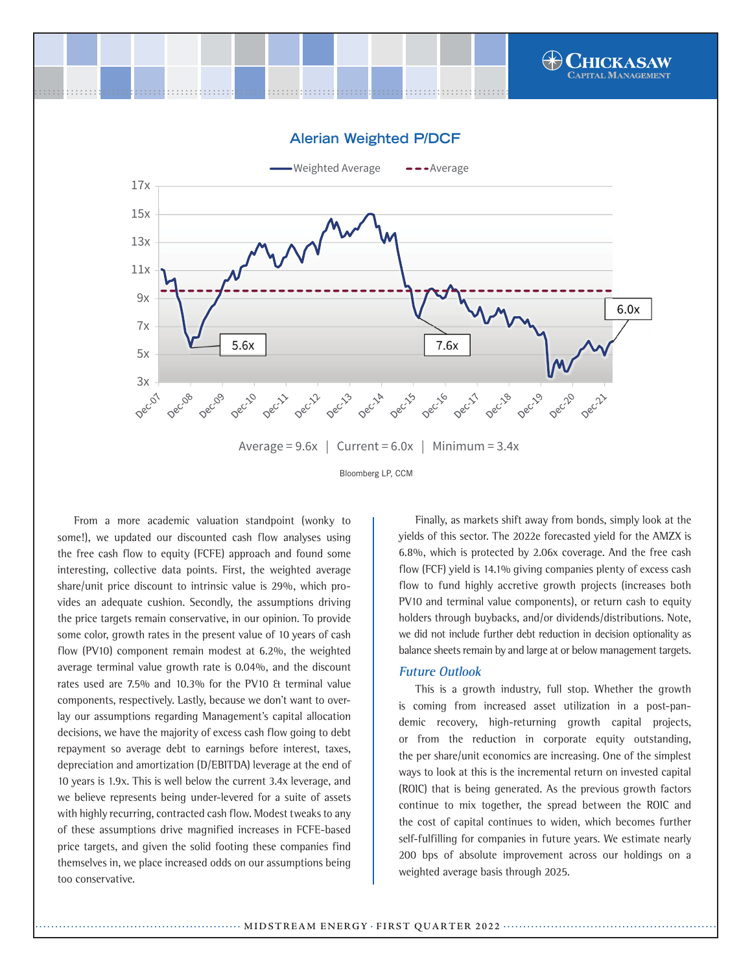



From a more academic valuation standpoint (wonky to some!), we updated our discounted cash flow analyses using the free cash flow to equity (FCFE) approach and found some interesting, collective data points. First, the weighted average share/unit price discount to intrinsic value is 29%, which provides an adequate cushion. Secondly, the assumptions driving the price targets remain conservative, in our opinion. To provide some color, growth rates in the present value of 10 years of cash flow (PV10) component remain modest at 6.2%, the weighted average terminal value growth rate is 0.04%, and the discount rates used are 7.5% and 10.3% for the PV10 & terminal value components, respectively. Lastly, because we don't want to overlay our assumptions regarding Management's capital allocation decisions, we have the majority of excess cash flow going to debt repayment so average debt to earnings before interest, taxes, depreciation and amortization (D/EBITDA) leverage at the end of 10 years is 1.9x. This is well below the current 3.4x leverage, and we believe represents being under-levered for a suite of assets with highly recurring, contracted cash flow. Modest tweaks to any of these assumptions drive magnified increases in FCFE-based price targets, and given the solid footing these companies find themselves in, we place increased odds on our assumptions being too conservative.

Finally, as markets shift away from bonds, simply look at the yields of this sector. The 2022e forecasted yield for the AMZX is 6.8%, which is protected by 2.06x coverage. And the free cash flow (FCF) yield is 14.1% giving companies plenty of excess cash flow to fund highly accretive growth projects (increases both PV10 and terminal value components), or return cash to equity holders through buybacks, and/or dividends/distributions. Note, we did not include further debt reduction in decision optionality as balance sheets remain by and large at or below management targets.

#### **Future Outlook**

This is a growth industry, full stop. Whether the growth is coming from increased asset utilization in a post-pandemic recovery, high-returning growth capital projects, or from the reduction in corporate equity outstanding, the per share/unit economics are increasing. One of the simplest ways to look at this is the incremental return on invested capital (ROIC) that is being generated. As the previous growth factors continue to mix together, the spread between the ROIC and the cost of capital continues to widen, which becomes further self-fulfilling for companies in future years. We estimate nearly 200 bps of absolute improvement across our holdings on a weighted average basis through 2025.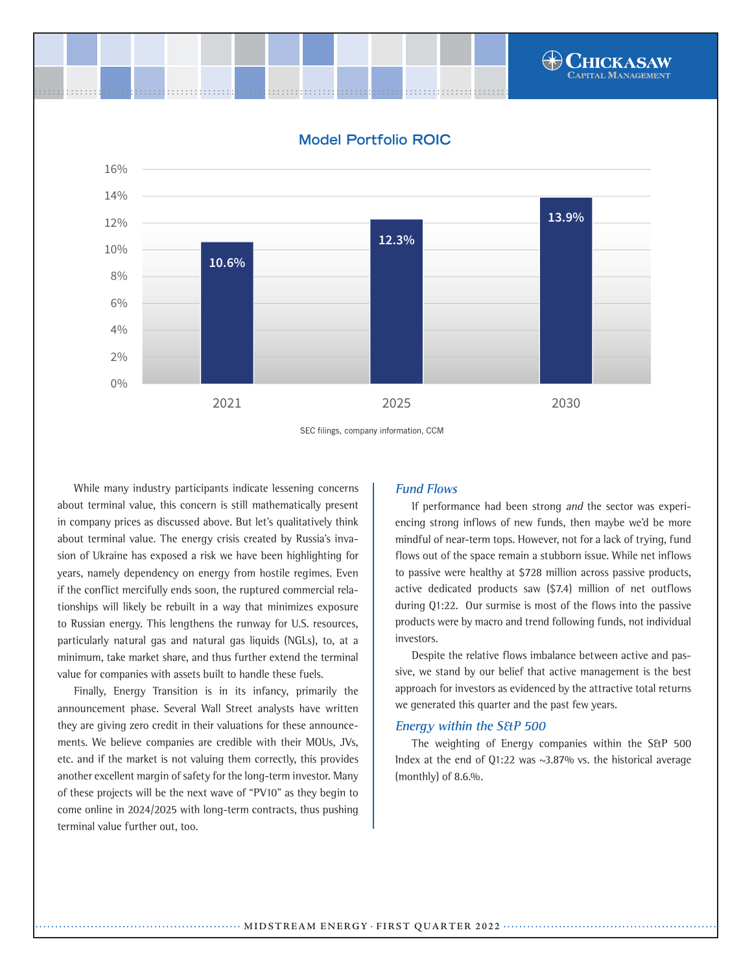

SEC filings, company information, CCM

While many industry participants indicate lessening concerns about terminal value, this concern is still mathematically present in company prices as discussed above. But let's qualitatively think about terminal value. The energy crisis created by Russia's invasion of Ukraine has exposed a risk we have been highlighting for years, namely dependency on energy from hostile regimes. Even if the conflict mercifully ends soon, the ruptured commercial relationships will likely be rebuilt in a way that minimizes exposure to Russian energy. This lengthens the runway for U.S. resources, particularly natural gas and natural gas liquids (NGLs), to, at a minimum, take market share, and thus further extend the terminal value for companies with assets built to handle these fuels.

Finally, Energy Transition is in its infancy, primarily the announcement phase. Several Wall Street analysts have written they are giving zero credit in their valuations for these announcements. We believe companies are credible with their MOUs, JVs, etc. and if the market is not valuing them correctly, this provides another excellent margin of safety for the long-term investor. Many of these projects will be the next wave of "PV10" as they begin to come online in 2024/2025 with long-term contracts, thus pushing terminal value further out, too.

#### **Fund Flows**

If performance had been strong and the sector was experiencing strong inflows of new funds, then maybe we'd be more mindful of near-term tops. However, not for a lack of trying, fund flows out of the space remain a stubborn issue. While net inflows to passive were healthy at \$728 million across passive products, active dedicated products saw (\$7.4) million of net outflows during Q1:22. Our surmise is most of the flows into the passive products were by macro and trend following funds, not individual investors.

Despite the relative flows imbalance between active and passive, we stand by our belief that active management is the best approach for investors as evidenced by the attractive total returns we generated this quarter and the past few years.

#### **Energy within the S&P 500**

The weighting of Energy companies within the S&P 500 Index at the end of Q1:22 was ~3.87% vs. the historical average (monthly) of 8.6.%.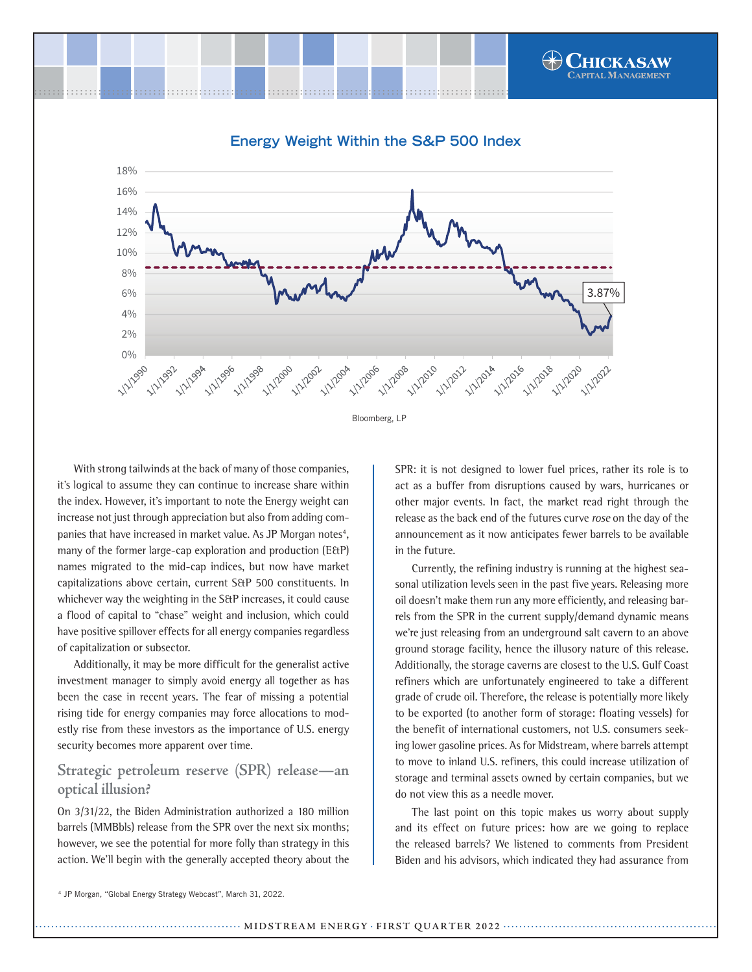

Bloomberg, LP

**11/2008** 

**A 11/2006** 

**1/1/2012** 

11/2014

H112016

1/1/2018

**PAILI**DOD

33 11/2010

With strong tailwinds at the back of many of those companies, it's logical to assume they can continue to increase share within the index. However, it's important to note the Energy weight can increase not just through appreciation but also from adding companies that have increased in market value. As JP Morgan notes<sup>4</sup>, many of the former large-cap exploration and production (E&P) names migrated to the mid-cap indices, but now have market capitalizations above certain, current S&P 500 constituents. In whichever way the weighting in the S&P increases, it could cause a flood of capital to "chase" weight and inclusion, which could have positive spillover effects for all energy companies regardless of capitalization or subsector.

1 1/1/994 1/1/996

**1/2/1998** 

**PAS** 1/2/2000

1/1/2002 1/1/200

0% |

1/1/2992

 $20/2$ 4%

Additionally, it may be more difficult for the generalist active investment manager to simply avoid energy all together as has been the case in recent years. The fear of missing a potential rising tide for energy companies may force allocations to modestly rise from these investors as the importance of U.S. energy security becomes more apparent over time.

## **Strategic petroleum reserve (SPR) release—an optical illusion?**

On 3/31/22, the Biden Administration authorized a 180 million barrels (MMBbls) release from the SPR over the next six months; however, we see the potential for more folly than strategy in this action. We'll begin with the generally accepted theory about the SPR: it is not designed to lower fuel prices, rather its role is to act as a buffer from disruptions caused by wars, hurricanes or other major events. In fact, the market read right through the release as the back end of the futures curve rose on the day of the announcement as it now anticipates fewer barrels to be available in the future.

Currently, the refining industry is running at the highest seasonal utilization levels seen in the past five years. Releasing more oil doesn't make them run any more efficiently, and releasing barrels from the SPR in the current supply/demand dynamic means we're just releasing from an underground salt cavern to an above ground storage facility, hence the illusory nature of this release. Additionally, the storage caverns are closest to the U.S. Gulf Coast refiners which are unfortunately engineered to take a different grade of crude oil. Therefore, the release is potentially more likely to be exported (to another form of storage: floating vessels) for the benefit of international customers, not U.S. consumers seeking lower gasoline prices. As for Midstream, where barrels attempt to move to inland U.S. refiners, this could increase utilization of storage and terminal assets owned by certain companies, but we do not view this as a needle mover.

The last point on this topic makes us worry about supply and its effect on future prices: how are we going to replace the released barrels? We listened to comments from President Biden and his advisors, which indicated they had assurance from

<sup>4</sup> JP Morgan, "Global Energy Strategy Webcast", March 31, 2022.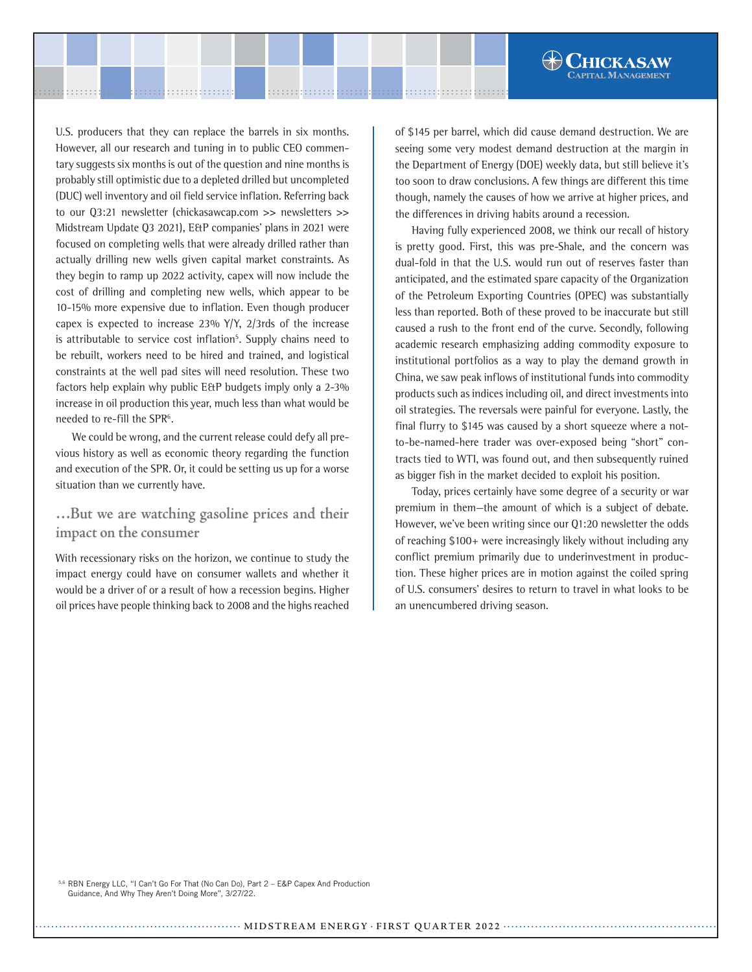U.S. producers that they can replace the barrels in six months. However, all our research and tuning in to public CEO commentary suggests six months is out of the question and nine months is probably still optimistic due to a depleted drilled but uncompleted (DUC) well inventory and oil field service inflation. Referring back to our Q3:21 newsletter (chickasawcap.com >> newsletters >> Midstream Update Q3 2021), E&P companies' plans in 2021 were focused on completing wells that were already drilled rather than actually drilling new wells given capital market constraints. As they begin to ramp up 2022 activity, capex will now include the cost of drilling and completing new wells, which appear to be 10-15% more expensive due to inflation. Even though producer capex is expected to increase  $23\%$  Y/Y,  $2/3$ rds of the increase is attributable to service cost inflation<sup>5</sup>. Supply chains need to be rebuilt, workers need to be hired and trained, and logistical constraints at the well pad sites will need resolution. These two factors help explain why public E&P budgets imply only a 2-3% increase in oil production this year, much less than what would be needed to re-fill the SPR<sup>6</sup>.

We could be wrong, and the current release could defy all previous history as well as economic theory regarding the function and execution of the SPR. Or, it could be setting us up for a worse situation than we currently have.

**…But we are watching gasoline prices and their impact on the consumer**

With recessionary risks on the horizon, we continue to study the impact energy could have on consumer wallets and whether it would be a driver of or a result of how a recession begins. Higher oil prices have people thinking back to 2008 and the highs reached of \$145 per barrel, which did cause demand destruction. We are seeing some very modest demand destruction at the margin in the Department of Energy (DOE) weekly data, but still believe it's too soon to draw conclusions. A few things are different this time though, namely the causes of how we arrive at higher prices, and the differences in driving habits around a recession.

**CHICKASAW** 

Having fully experienced 2008, we think our recall of history is pretty good. First, this was pre-Shale, and the concern was dual-fold in that the U.S. would run out of reserves faster than anticipated, and the estimated spare capacity of the Organization of the Petroleum Exporting Countries (OPEC) was substantially less than reported. Both of these proved to be inaccurate but still caused a rush to the front end of the curve. Secondly, following academic research emphasizing adding commodity exposure to institutional portfolios as a way to play the demand growth in China, we saw peak inflows of institutional funds into commodity products such as indices including oil, and direct investments into oil strategies. The reversals were painful for everyone. Lastly, the final flurry to \$145 was caused by a short squeeze where a notto-be-named-here trader was over-exposed being "short" contracts tied to WTI, was found out, and then subsequently ruined as bigger fish in the market decided to exploit his position.

Today, prices certainly have some degree of a security or war premium in them—the amount of which is a subject of debate. However, we've been writing since our Q1:20 newsletter the odds of reaching \$100+ were increasingly likely without including any conflict premium primarily due to underinvestment in production. These higher prices are in motion against the coiled spring of U.S. consumers' desires to return to travel in what looks to be an unencumbered driving season.

5,6 RBN Energy LLC, "I Can't Go For That (No Can Do), Part 2 – E&P Capex And Production Guidance, And Why They Aren't Doing More", 3/27/22.

.................................................... **MIDSTREAM ENERGY** . **FIRST QUARTER <sup>2022</sup>** ......................................................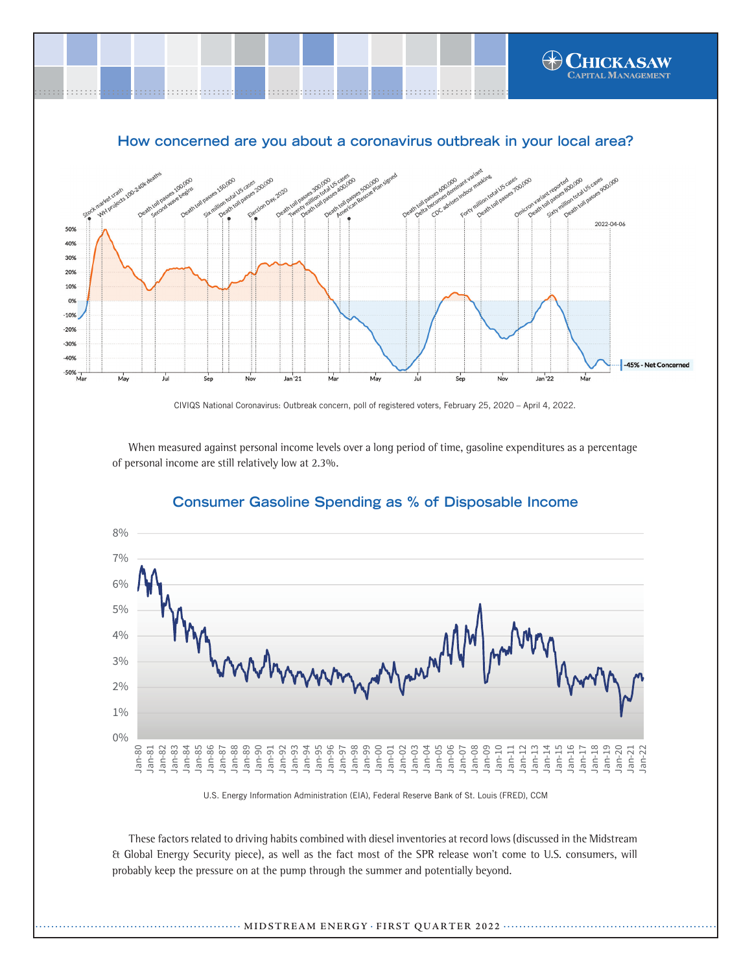

CIVIQS National Coronavirus: Outbreak concern, poll of registered voters, February 25, 2020 – April 4, 2022.

When measured against personal income levels over a long period of time, gasoline expenditures as a percentage of personal income are still relatively low at 2.3%.



## **Consumer Gasoline Spending as % of Disposable Income**

U.S. Energy Information Administration (EIA), Federal Reserve Bank of St. Louis (FRED), CCM

These factors related to driving habits combined with diesel inventories at record lows (discussed in the Midstream & Global Energy Security piece), as well as the fact most of the SPR release won't come to U.S. consumers, will probably keep the pressure on at the pump through the summer and potentially beyond.

#### .................................................... **MIDSTREAM ENERGY** . **FIRST QUARTER <sup>2022</sup>** ......................................................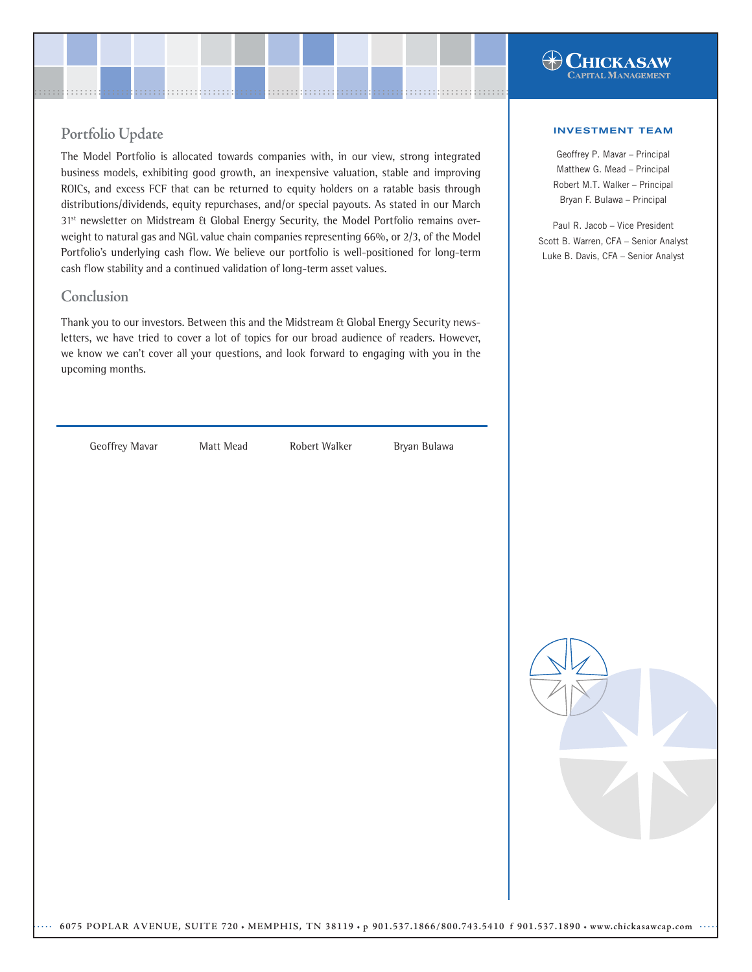## $\bigoplus$  Chickasaw **APITAL MANAGEMENT**

## **Portfolio Update**

The Model Portfolio is allocated towards companies with, in our view, strong integrated business models, exhibiting good growth, an inexpensive valuation, stable and improving ROICs, and excess FCF that can be returned to equity holders on a ratable basis through distributions/dividends, equity repurchases, and/or special payouts. As stated in our March 31<sup>st</sup> newsletter on Midstream & Global Energy Security, the Model Portfolio remains overweight to natural gas and NGL value chain companies representing 66%, or 2/3, of the Model Portfolio's underlying cash flow. We believe our portfolio is well-positioned for long-term cash flow stability and a continued validation of long-term asset values.

## **Conclusion**

Thank you to our investors. Between this and the Midstream & Global Energy Security newsletters, we have tried to cover a lot of topics for our broad audience of readers. However, we know we can't cover all your questions, and look forward to engaging with you in the upcoming months.

Geoffrey Mavar Matt Mead Robert Walker Bryan Bulawa

#### INVESTMENT TEAM

Geoffrey P. Mavar – Principal Matthew G. Mead – Principal Robert M.T. Walker – Principal Bryan F. Bulawa – Principal

Paul R. Jacob – Vice President Scott B. Warren, CFA – Senior Analyst Luke B. Davis, CFA – Senior Analyst

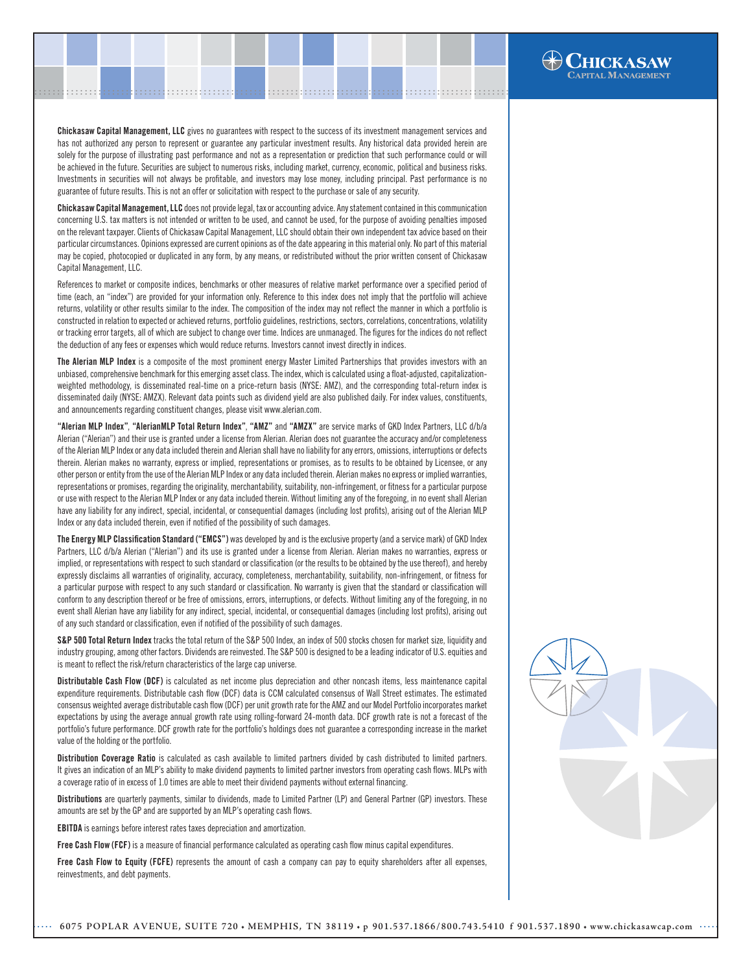Chickasaw Capital Management, LLC gives no guarantees with respect to the success of its investment management services and has not authorized any person to represent or guarantee any particular investment results. Any historical data provided herein are solely for the purpose of illustrating past performance and not as a representation or prediction that such performance could or will be achieved in the future. Securities are subject to numerous risks, including market, currency, economic, political and business risks. Investments in securities will not always be profitable, and investors may lose money, including principal. Past performance is no guarantee of future results. This is not an offer or solicitation with respect to the purchase or sale of any security.

.......................................................................................................[.](http://www.chickasawcap.com) ........................................................................................................

Chickasaw Capital Management, LLC does not provide legal, tax or accounting advice. Any statement contained in this communication concerning U.S. tax matters is not intended or written to be used, and cannot be used, for the purpose of avoiding penalties imposed on the relevant taxpayer. Clients of Chickasaw Capital Management, LLC should obtain their own independent tax advice based on their particular circumstances. Opinions expressed are current opinions as of the date appearing in this material only. No part of this material may be copied, photocopied or duplicated in any form, by any means, or redistributed without the prior written consent of Chickasaw Capital Management, LLC.

References to market or composite indices, benchmarks or other measures of relative market performance over a specified period of time (each, an "index") are provided for your information only. Reference to this index does not imply that the portfolio will achieve returns, volatility or other results similar to the index. The composition of the index may not reflect the manner in which a portfolio is constructed in relation to expected or achieved returns, portfolio guidelines, restrictions, sectors, correlations, concentrations, volatility or tracking error targets, all of which are subject to change over time. Indices are unmanaged. The figures for the indices do not reflect the deduction of any fees or expenses which would reduce returns. Investors cannot invest directly in indices.

The Alerian MLP Index is a composite of the most prominent energy Master Limited Partnerships that provides investors with an unbiased, comprehensive benchmark for this emerging asset class. The index, which is calculated using a float-adjusted, capitalizationweighted methodology, is disseminated real-time on a price-return basis (NYSE: AMZ), and the corresponding total-return index is disseminated daily (NYSE: AMZX). Relevant data points such as dividend yield are also published daily. For index values, constituents, and announcements regarding constituent changes, please visit www.alerian.com.

"Alerian MLP Index", "AlerianMLP Total Return Index", "AMZ" and "AMZX" are service marks of GKD Index Partners, LLC d/b/a Alerian ("Alerian") and their use is granted under a license from Alerian. Alerian does not guarantee the accuracy and/or completeness of the Alerian MLP Index or any data included therein and Alerian shall have no liability for any errors, omissions, interruptions or defects therein. Alerian makes no warranty, express or implied, representations or promises, as to results to be obtained by Licensee, or any other person or entity from the use of the Alerian MLP Index or any data included therein. Alerian makes no express or implied warranties, representations or promises, regarding the originality, merchantability, suitability, non-infringement, or fitness for a particular purpose or use with respect to the Alerian MLP Index or any data included therein. Without limiting any of the foregoing, in no event shall Alerian have any liability for any indirect, special, incidental, or consequential damages (including lost profits), arising out of the Alerian MLP Index or any data included therein, even if notified of the possibility of such damages.

The Energy MLP Classification Standard ("EMCS") was developed by and is the exclusive property (and a service mark) of GKD Index Partners, LLC d/b/a Alerian ("Alerian") and its use is granted under a license from Alerian. Alerian makes no warranties, express or implied, or representations with respect to such standard or classification (or the results to be obtained by the use thereof), and hereby expressly disclaims all warranties of originality, accuracy, completeness, merchantability, suitability, non-infringement, or fitness for a particular purpose with respect to any such standard or classification. No warranty is given that the standard or classification will conform to any description thereof or be free of omissions, errors, interruptions, or defects. Without limiting any of the foregoing, in no event shall Alerian have any liability for any indirect, special, incidental, or consequential damages (including lost profits), arising out of any such standard or classification, even if notified of the possibility of such damages.

S&P 500 Total Return Index tracks the total return of the S&P 500 Index, an index of 500 stocks chosen for market size, liquidity and industry grouping, among other factors. Dividends are reinvested. The S&P 500 is designed to be a leading indicator of U.S. equities and is meant to reflect the risk/return characteristics of the large cap universe.

Distributable Cash Flow (DCF) is calculated as net income plus depreciation and other noncash items, less maintenance capital expenditure requirements. Distributable cash flow (DCF) data is CCM calculated consensus of Wall Street estimates. The estimated consensus weighted average distributable cash flow (DCF) per unit growth rate for the AMZ and our Model Portfolio incorporates market expectations by using the average annual growth rate using rolling-forward 24-month data. DCF growth rate is not a forecast of the portfolio's future performance. DCF growth rate for the portfolio's holdings does not guarantee a corresponding increase in the market value of the holding or the portfolio.

Distribution Coverage Ratio is calculated as cash available to limited partners divided by cash distributed to limited partners. It gives an indication of an MLP's ability to make dividend payments to limited partner investors from operating cash flows. MLPs with a coverage ratio of in excess of 1.0 times are able to meet their dividend payments without external financing.

Distributions are quarterly payments, similar to dividends, made to Limited Partner (LP) and General Partner (GP) investors. These amounts are set by the GP and are supported by an MLP's operating cash flows.

EBITDA is earnings before interest rates taxes depreciation and amortization.

Free Cash Flow (FCF) is a measure of financial performance calculated as operating cash flow minus capital expenditures.

Free Cash Flow to Equity (FCFE) represents the amount of cash a company can pay to equity shareholders after all expenses, reinvestments, and debt payments.



**HICKASAW**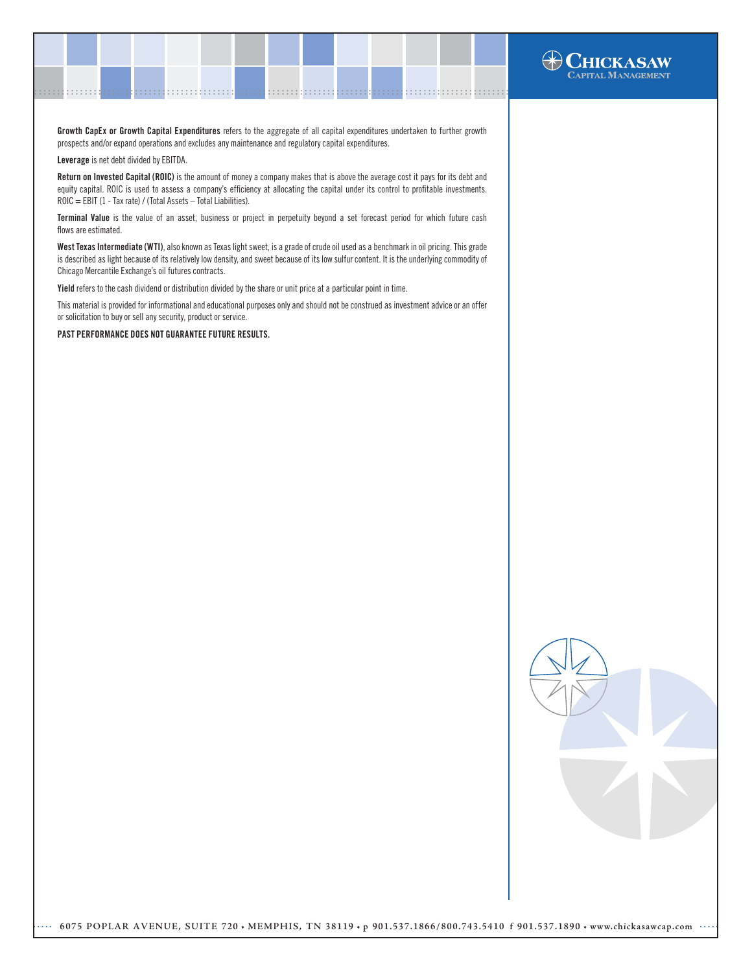Growth CapEx or Growth Capital Expenditures refers to the aggregate of all capital expenditures undertaken to further growth prospects and/or expand operations and excludes any maintenance and regulatory capital expenditures.

.......................................................................................................[.](http://www.chickasawcap.com) ........................................................................................................

Leverage is net debt divided by EBITDA.

Return on Invested Capital (ROIC) is the amount of money a company makes that is above the average cost it pays for its debt and equity capital. ROIC is used to assess a company's efficiency at allocating the capital under its control to profitable investments. ROIC = EBIT (1 - Tax rate) / (Total Assets – Total Liabilities).

Terminal Value is the value of an asset, business or project in perpetuity beyond a set forecast period for which future cash flows are estimated.

West Texas Intermediate (WTI), also known as Texas light sweet, is a grade of crude oil used as a benchmark in oil pricing. This grade is described as light because of its relatively low density, and sweet because of its low sulfur content. It is the underlying commodity of Chicago Mercantile Exchange's oil futures contracts.

Yield refers to the cash dividend or distribution divided by the share or unit price at a particular point in time.

This material is provided for informational and educational purposes only and should not be construed as investment advice or an offer or solicitation to buy or sell any security, product or service.

PAST PERFORMANCE DOES NOT GUARANTEE FUTURE RESULTS.



**HICKASAW** .<br>APITAL MANAGEMENT